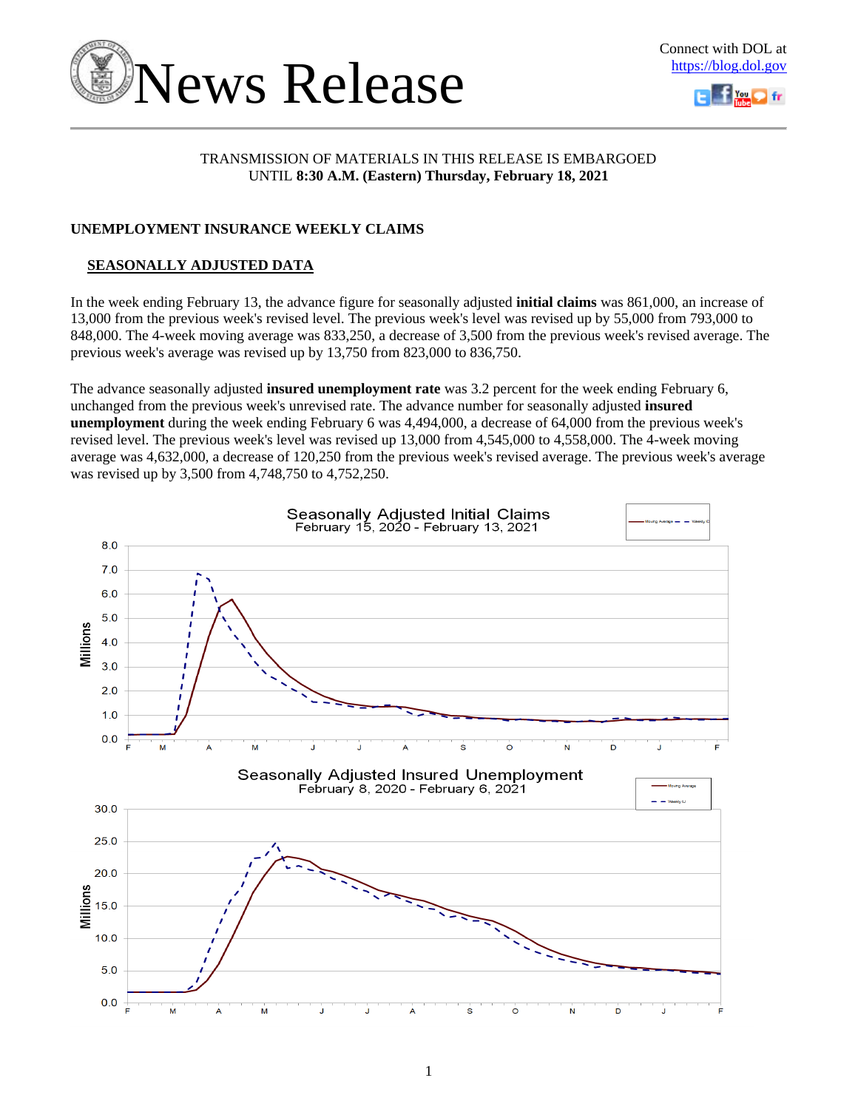

# TRANSMISSION OF MATERIALS IN THIS RELEASE IS EMBARGOED UNTIL **8:30 A.M. (Eastern) Thursday, February 18, 2021**

# **UNEMPLOYMENT INSURANCE WEEKLY CLAIMS**

# **SEASONALLY ADJUSTED DATA**

In the week ending February 13, the advance figure for seasonally adjusted **initial claims** was 861,000, an increase of 13,000 from the previous week's revised level. The previous week's level was revised up by 55,000 from 793,000 to 848,000. The 4-week moving average was 833,250, a decrease of 3,500 from the previous week's revised average. The previous week's average was revised up by 13,750 from 823,000 to 836,750.

The advance seasonally adjusted **insured unemployment rate** was 3.2 percent for the week ending February 6, unchanged from the previous week's unrevised rate. The advance number for seasonally adjusted **insured unemployment** during the week ending February 6 was 4,494,000, a decrease of 64,000 from the previous week's revised level. The previous week's level was revised up 13,000 from 4,545,000 to 4,558,000. The 4-week moving average was 4,632,000, a decrease of 120,250 from the previous week's revised average. The previous week's average was revised up by 3,500 from 4,748,750 to 4,752,250.

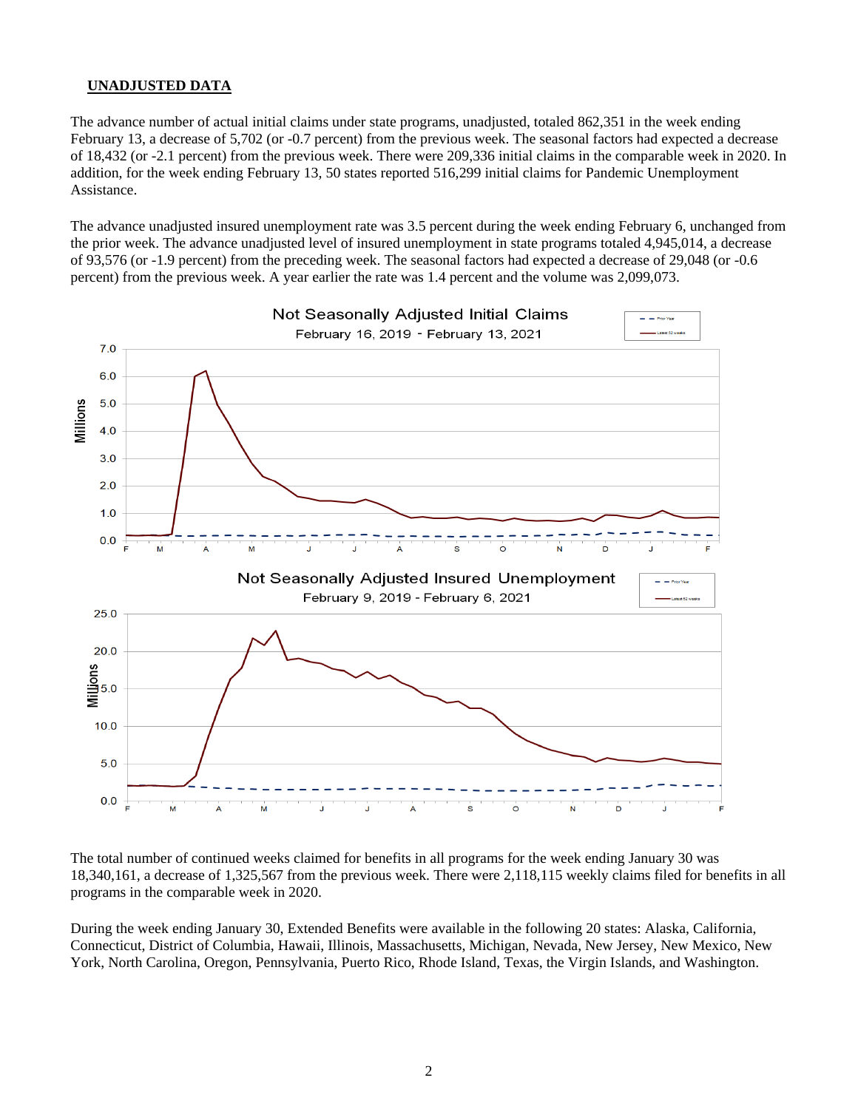### **UNADJUSTED DATA**

The advance number of actual initial claims under state programs, unadjusted, totaled 862,351 in the week ending February 13, a decrease of 5,702 (or -0.7 percent) from the previous week. The seasonal factors had expected a decrease of 18,432 (or -2.1 percent) from the previous week. There were 209,336 initial claims in the comparable week in 2020. In addition, for the week ending February 13, 50 states reported 516,299 initial claims for Pandemic Unemployment Assistance.

The advance unadjusted insured unemployment rate was 3.5 percent during the week ending February 6, unchanged from the prior week. The advance unadjusted level of insured unemployment in state programs totaled 4,945,014, a decrease of 93,576 (or -1.9 percent) from the preceding week. The seasonal factors had expected a decrease of 29,048 (or -0.6 percent) from the previous week. A year earlier the rate was 1.4 percent and the volume was 2,099,073.



The total number of continued weeks claimed for benefits in all programs for the week ending January 30 was 18,340,161, a decrease of 1,325,567 from the previous week. There were 2,118,115 weekly claims filed for benefits in all programs in the comparable week in 2020.

During the week ending January 30, Extended Benefits were available in the following 20 states: Alaska, California, Connecticut, District of Columbia, Hawaii, Illinois, Massachusetts, Michigan, Nevada, New Jersey, New Mexico, New York, North Carolina, Oregon, Pennsylvania, Puerto Rico, Rhode Island, Texas, the Virgin Islands, and Washington.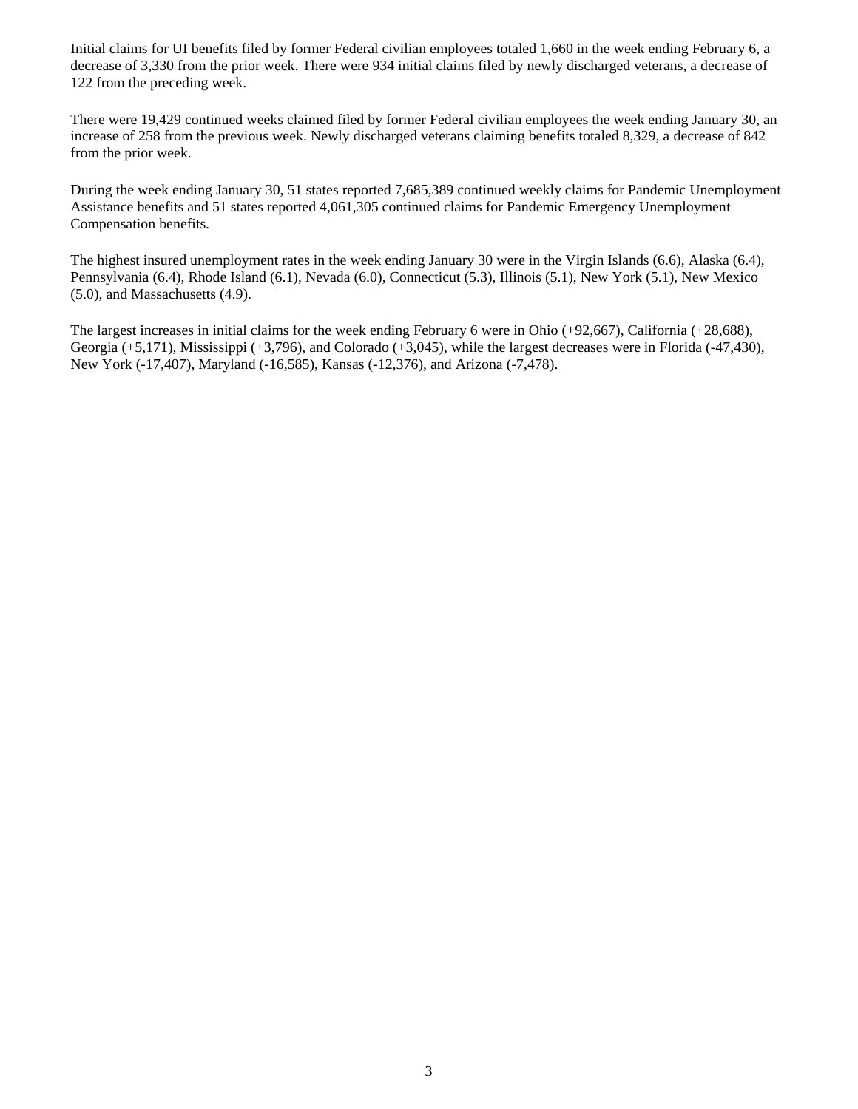Initial claims for UI benefits filed by former Federal civilian employees totaled 1,660 in the week ending February 6, a decrease of 3,330 from the prior week. There were 934 initial claims filed by newly discharged veterans, a decrease of 122 from the preceding week.

There were 19,429 continued weeks claimed filed by former Federal civilian employees the week ending January 30, an increase of 258 from the previous week. Newly discharged veterans claiming benefits totaled 8,329, a decrease of 842 from the prior week.

During the week ending January 30, 51 states reported 7,685,389 continued weekly claims for Pandemic Unemployment Assistance benefits and 51 states reported 4,061,305 continued claims for Pandemic Emergency Unemployment Compensation benefits.

The highest insured unemployment rates in the week ending January 30 were in the Virgin Islands (6.6), Alaska (6.4), Pennsylvania (6.4), Rhode Island (6.1), Nevada (6.0), Connecticut (5.3), Illinois (5.1), New York (5.1), New Mexico (5.0), and Massachusetts (4.9).

The largest increases in initial claims for the week ending February 6 were in Ohio (+92,667), California (+28,688), Georgia (+5,171), Mississippi (+3,796), and Colorado (+3,045), while the largest decreases were in Florida (-47,430), New York (-17,407), Maryland (-16,585), Kansas (-12,376), and Arizona (-7,478).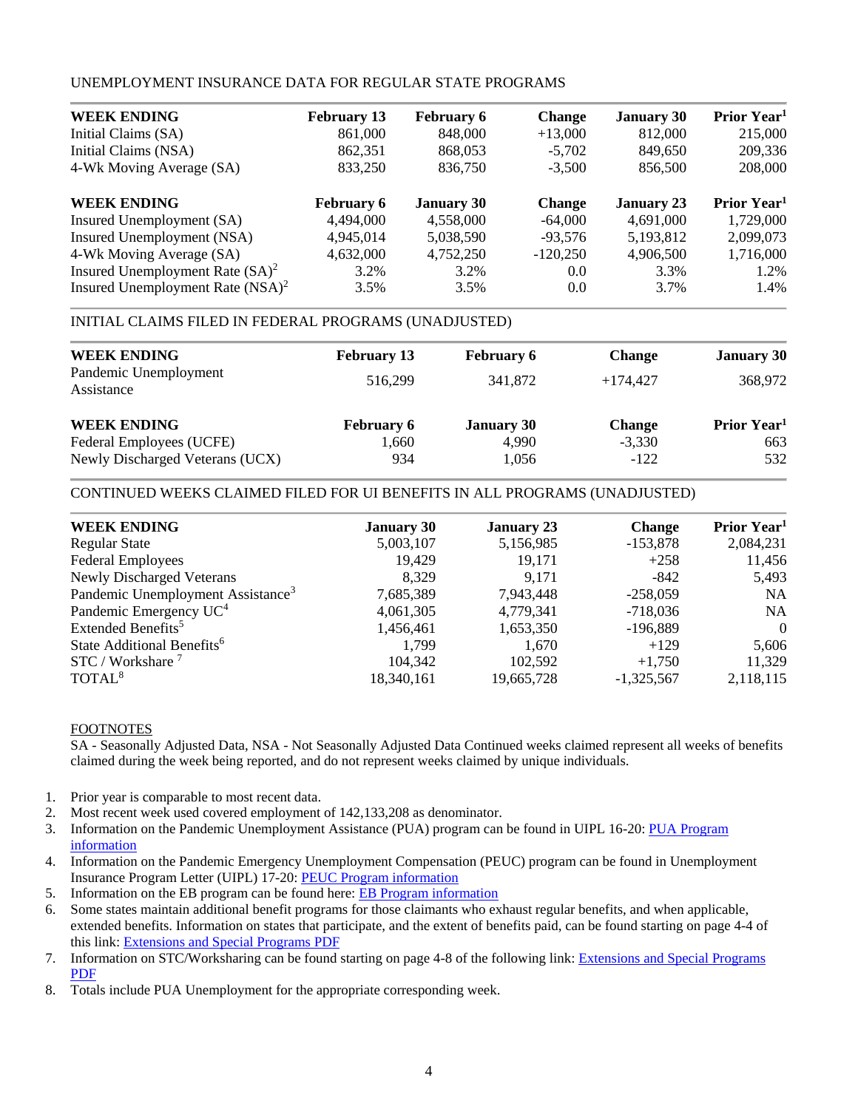# UNEMPLOYMENT INSURANCE DATA FOR REGULAR STATE PROGRAMS

| <b>WEEK ENDING</b>                  | <b>February 13</b> | <b>February 6</b> | <b>Change</b> | <b>January 30</b> | Prior Year <sup>1</sup> |
|-------------------------------------|--------------------|-------------------|---------------|-------------------|-------------------------|
| Initial Claims (SA)                 | 861,000            | 848,000           | $+13,000$     | 812,000           | 215,000                 |
| Initial Claims (NSA)                | 862,351            | 868,053           | $-5,702$      | 849,650           | 209,336                 |
| 4-Wk Moving Average (SA)            | 833,250            | 836,750           | $-3,500$      | 856,500           | 208,000                 |
| <b>WEEK ENDING</b>                  | <b>February 6</b>  | <b>January 30</b> | <b>Change</b> | <b>January 23</b> | Prior Year <sup>1</sup> |
| Insured Unemployment (SA)           | 4,494,000          | 4,558,000         | $-64,000$     | 4,691,000         | 1,729,000               |
| Insured Unemployment (NSA)          | 4.945.014          | 5,038,590         | $-93.576$     | 5,193,812         | 2,099,073               |
| 4-Wk Moving Average (SA)            | 4,632,000          | 4,752,250         | $-120,250$    | 4,906,500         | 1,716,000               |
| Insured Unemployment Rate $(SA)^2$  | 3.2%               | 3.2%              | 0.0           | 3.3%              | 1.2%                    |
| Insured Unemployment Rate $(NSA)^2$ | 3.5%               | 3.5%              | 0.0           | 3.7%              | 1.4%                    |

# INITIAL CLAIMS FILED IN FEDERAL PROGRAMS (UNADJUSTED)

| <b>WEEK ENDING</b>                  | <b>February 13</b> | <b>February 6</b> | <b>Change</b> | <b>January 30</b>       |
|-------------------------------------|--------------------|-------------------|---------------|-------------------------|
| Pandemic Unemployment<br>Assistance | 516.299            | 341,872           | $+174.427$    | 368,972                 |
| <b>WEEK ENDING</b>                  | <b>February 6</b>  | <b>January 30</b> | <b>Change</b> | Prior Year <sup>1</sup> |
| Federal Employees (UCFE)            | 1,660              | 4,990             | $-3,330$      | 663                     |
| Newly Discharged Veterans (UCX)     | 934                | 1.056             | $-122$        | 532                     |

# CONTINUED WEEKS CLAIMED FILED FOR UI BENEFITS IN ALL PROGRAMS (UNADJUSTED)

| <b>WEEK ENDING</b>                            | <b>January 30</b> | <b>January 23</b> | <b>Change</b> | Prior Year <sup>1</sup> |
|-----------------------------------------------|-------------------|-------------------|---------------|-------------------------|
| <b>Regular State</b>                          | 5,003,107         | 5,156,985         | $-153,878$    | 2,084,231               |
| <b>Federal Employees</b>                      | 19.429            | 19.171            | $+258$        | 11,456                  |
| <b>Newly Discharged Veterans</b>              | 8.329             | 9.171             | $-842$        | 5,493                   |
| Pandemic Unemployment Assistance <sup>3</sup> | 7,685,389         | 7,943,448         | $-258,059$    | <b>NA</b>               |
| Pandemic Emergency UC <sup>4</sup>            | 4,061,305         | 4,779,341         | $-718,036$    | <b>NA</b>               |
| Extended Benefits <sup>5</sup>                | 1,456,461         | 1,653,350         | $-196,889$    | $\theta$                |
| State Additional Benefits <sup>6</sup>        | 1.799             | 1,670             | $+129$        | 5,606                   |
| STC / Workshare <sup>7</sup>                  | 104.342           | 102.592           | $+1.750$      | 11,329                  |
| TOTAL <sup>8</sup>                            | 18,340,161        | 19,665,728        | $-1,325,567$  | 2,118,115               |
|                                               |                   |                   |               |                         |

### FOOTNOTES

SA - Seasonally Adjusted Data, NSA - Not Seasonally Adjusted Data Continued weeks claimed represent all weeks of benefits claimed during the week being reported, and do not represent weeks claimed by unique individuals.

- 1. Prior year is comparable to most recent data.
- 2. Most recent week used covered employment of 142,133,208 as denominator.
- 3. Information on the Pandemic Unemployment Assistance (PUA) program can be found in UIPL 16-20: [PUA Program](https://wdr.doleta.gov/directives/corr_doc.cfm?DOCN=4628) [information](https://wdr.doleta.gov/directives/corr_doc.cfm?DOCN=4628)
- 4. Information on the Pandemic Emergency Unemployment Compensation (PEUC) program can be found in Unemployment Insurance Program Letter (UIPL) 17-20: [PEUC Program](https://wdr.doleta.gov/directives/corr_doc.cfm?DOCN=8452) information
- 5. Information on the EB program can be found here: [EB Program information](https://oui.doleta.gov/unemploy/extenben.asp)
- 6. Some states maintain additional benefit programs for those claimants who exhaust regular benefits, and when applicable, extended benefits. Information on states that participate, and the extent of benefits paid, can be found starting on page 4-4 of this link: [Extensions and Special Programs PDF](https://oui.doleta.gov/unemploy/pdf/uilawcompar/2020/special.pdf#page=4)
- 7. Information on STC/Worksharing can be found starting on page 4-8 of the following link: [Extensions and Special Programs](https://oui.doleta.gov/unemploy/pdf/uilawcompar/2019/special.pdf#page=8) [PDF](https://oui.doleta.gov/unemploy/pdf/uilawcompar/2019/special.pdf#page=8)
- 8. Totals include PUA Unemployment for the appropriate corresponding week.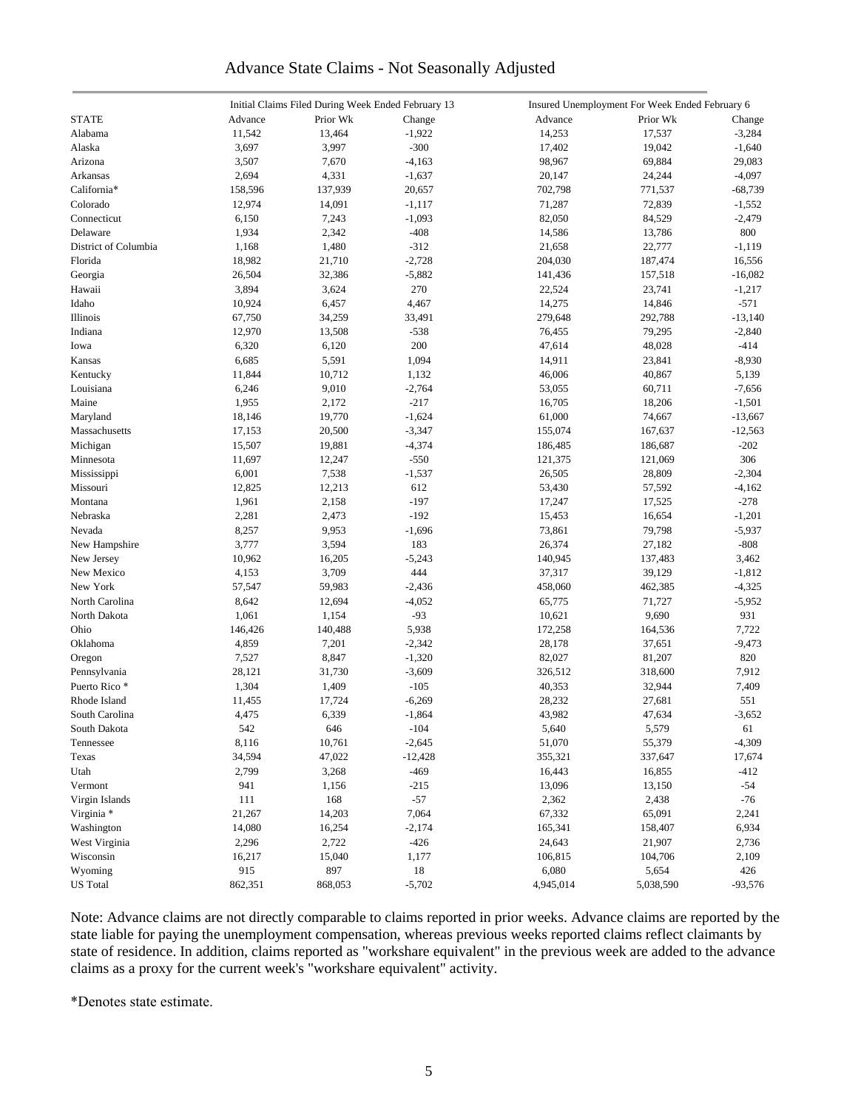# Advance State Claims - Not Seasonally Adjusted

|                      |         | Initial Claims Filed During Week Ended February 13 |                    |           | Insured Unemployment For Week Ended February 6 |                 |
|----------------------|---------|----------------------------------------------------|--------------------|-----------|------------------------------------------------|-----------------|
| <b>STATE</b>         | Advance | Prior Wk                                           | Change             | Advance   | Prior Wk                                       | Change          |
| Alabama              | 11,542  | 13,464                                             | $-1,922$           | 14,253    | 17,537                                         | $-3,284$        |
| Alaska               | 3,697   | 3,997                                              | $-300$             | 17,402    | 19,042                                         | $-1,640$        |
| Arizona              | 3,507   | 7,670                                              | $-4,163$           | 98,967    | 69,884                                         | 29,083          |
| Arkansas             | 2,694   | 4,331                                              | $-1,637$           | 20,147    | 24,244                                         | $-4,097$        |
| California*          | 158,596 | 137,939                                            | 20,657             | 702,798   | 771,537                                        | $-68,739$       |
| Colorado             | 12,974  | 14,091                                             | $-1,117$           | 71,287    | 72,839                                         | $-1,552$        |
|                      |         |                                                    |                    |           |                                                |                 |
| Connecticut          | 6,150   | 7,243<br>2,342                                     | $-1,093$<br>$-408$ | 82,050    | 84,529                                         | $-2,479$<br>800 |
| Delaware             | 1,934   |                                                    |                    | 14,586    | 13,786                                         |                 |
| District of Columbia | 1,168   | 1,480                                              | $-312$             | 21,658    | 22,777                                         | $-1,119$        |
| Florida              | 18,982  | 21,710                                             | $-2,728$           | 204,030   | 187,474                                        | 16,556          |
| Georgia              | 26,504  | 32,386                                             | $-5,882$           | 141,436   | 157,518                                        | $-16,082$       |
| Hawaii               | 3,894   | 3,624                                              | 270                | 22,524    | 23,741                                         | $-1,217$        |
| Idaho                | 10,924  | 6,457                                              | 4,467              | 14,275    | 14,846                                         | $-571$          |
| Illinois             | 67,750  | 34,259                                             | 33,491             | 279,648   | 292,788                                        | $-13,140$       |
| Indiana              | 12,970  | 13,508                                             | $-538$             | 76,455    | 79,295                                         | $-2,840$        |
| Iowa                 | 6,320   | 6,120                                              | 200                | 47,614    | 48,028                                         | $-414$          |
| Kansas               | 6,685   | 5,591                                              | 1,094              | 14,911    | 23,841                                         | $-8,930$        |
| Kentucky             | 11,844  | 10,712                                             | 1,132              | 46,006    | 40,867                                         | 5,139           |
| Louisiana            | 6,246   | 9,010                                              | $-2,764$           | 53,055    | 60,711                                         | $-7,656$        |
| Maine                | 1,955   | 2,172                                              | $-217$             | 16,705    | 18,206                                         | $-1,501$        |
| Maryland             | 18,146  | 19,770                                             | $-1,624$           | 61,000    | 74,667                                         | $-13,667$       |
| Massachusetts        | 17,153  | 20,500                                             | $-3,347$           | 155,074   | 167,637                                        | $-12,563$       |
| Michigan             | 15,507  | 19,881                                             | $-4,374$           | 186,485   | 186,687                                        | $-202$          |
| Minnesota            | 11,697  | 12,247                                             | $-550$             | 121,375   | 121,069                                        | 306             |
| Mississippi          | 6,001   | 7,538                                              | $-1,537$           | 26,505    | 28,809                                         | $-2,304$        |
| Missouri             | 12,825  | 12,213                                             | 612                | 53,430    | 57,592                                         | $-4,162$        |
| Montana              | 1,961   | 2,158                                              | $-197$             | 17,247    | 17,525                                         | $-278$          |
| Nebraska             | 2,281   | 2,473                                              | $-192$             | 15,453    | 16,654                                         | $-1,201$        |
| Nevada               | 8,257   | 9,953                                              | $-1,696$           | 73,861    | 79,798                                         | $-5,937$        |
|                      | 3,777   | 3,594                                              | 183                | 26,374    | 27,182                                         | $-808$          |
| New Hampshire        |         |                                                    | $-5,243$           |           |                                                |                 |
| New Jersey           | 10,962  | 16,205                                             |                    | 140,945   | 137,483                                        | 3,462           |
| New Mexico           | 4,153   | 3,709                                              | 444                | 37,317    | 39,129                                         | $-1,812$        |
| New York             | 57,547  | 59,983                                             | $-2,436$           | 458,060   | 462,385                                        | $-4,325$        |
| North Carolina       | 8,642   | 12,694                                             | $-4,052$           | 65,775    | 71,727                                         | $-5,952$        |
| North Dakota         | 1,061   | 1,154                                              | $-93$              | 10,621    | 9,690                                          | 931             |
| Ohio                 | 146,426 | 140,488                                            | 5,938              | 172,258   | 164,536                                        | 7,722           |
| Oklahoma             | 4,859   | 7,201                                              | $-2,342$           | 28,178    | 37,651                                         | $-9,473$        |
| Oregon               | 7,527   | 8,847                                              | $-1,320$           | 82,027    | 81,207                                         | 820             |
| Pennsylvania         | 28,121  | 31,730                                             | $-3,609$           | 326,512   | 318,600                                        | 7,912           |
| Puerto Rico *        | 1,304   | 1,409                                              | $-105$             | 40,353    | 32,944                                         | 7,409           |
| Rhode Island         | 11,455  | 17,724                                             | $-6,269$           | 28,232    | 27,681                                         | 551             |
| South Carolina       | 4,475   | 6,339                                              | $-1,864$           | 43,982    | 47,634                                         | $-3,652$        |
| South Dakota         | 542     | 646                                                | $-104$             | 5,640     | 5,579                                          | 61              |
| Tennessee            | 8,116   | 10,761                                             | $-2,645$           | 51,070    | 55,379                                         | $-4,309$        |
| Texas                | 34,594  | 47,022                                             | $-12,428$          | 355,321   | 337,647                                        | 17,674          |
| Utah                 | 2,799   | 3,268                                              | $-469$             | 16,443    | 16,855                                         | $-412$          |
| Vermont              | 941     | 1,156                                              | $-215$             | 13,096    | 13,150                                         | $-54$           |
| Virgin Islands       | 111     | 168                                                | $-57$              | 2,362     | 2,438                                          | $-76$           |
| Virginia *           | 21,267  | 14,203                                             | 7,064              | 67,332    | 65,091                                         | 2,241           |
| Washington           | 14,080  | 16,254                                             | $-2,174$           | 165,341   | 158,407                                        | 6,934           |
| West Virginia        | 2,296   | 2,722                                              | $-426$             | 24,643    | 21,907                                         | 2,736           |
| Wisconsin            | 16,217  | 15,040                                             | 1,177              | 106,815   | 104,706                                        | 2,109           |
| Wyoming              | 915     | 897                                                | $18\,$             | 6,080     | 5,654                                          | 426             |
| <b>US</b> Total      | 862,351 | 868,053                                            | $-5,702$           | 4,945,014 | 5,038,590                                      | $-93,576$       |
|                      |         |                                                    |                    |           |                                                |                 |

Note: Advance claims are not directly comparable to claims reported in prior weeks. Advance claims are reported by the state liable for paying the unemployment compensation, whereas previous weeks reported claims reflect claimants by state of residence. In addition, claims reported as "workshare equivalent" in the previous week are added to the advance claims as a proxy for the current week's "workshare equivalent" activity.

\*Denotes state estimate.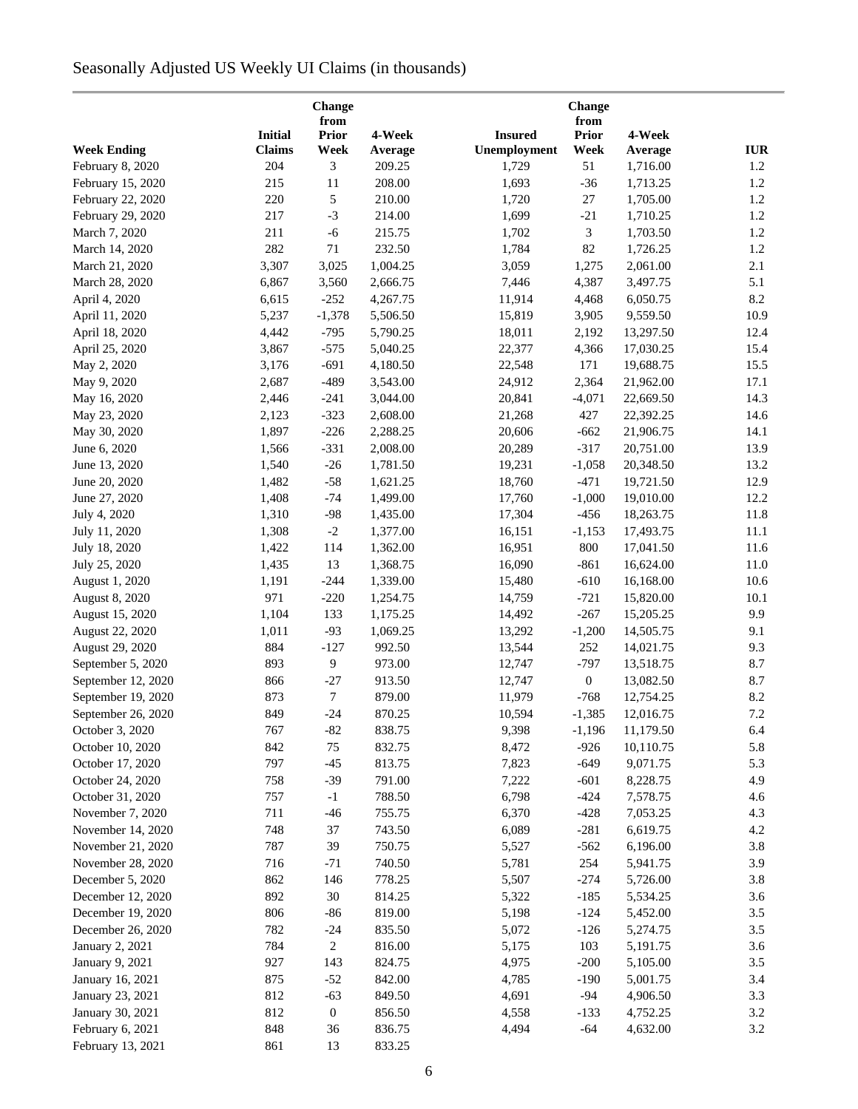# Seasonally Adjusted US Weekly UI Claims (in thousands)

| Change<br>from     |                |                  |          | Change<br>from |                  |           |            |  |  |
|--------------------|----------------|------------------|----------|----------------|------------------|-----------|------------|--|--|
|                    | <b>Initial</b> | <b>Prior</b>     | 4-Week   | <b>Insured</b> | Prior            | 4-Week    |            |  |  |
| <b>Week Ending</b> | <b>Claims</b>  | Week             | Average  | Unemployment   | Week             | Average   | <b>IUR</b> |  |  |
| February 8, 2020   | 204            | 3                | 209.25   | 1,729          | 51               | 1,716.00  | 1.2        |  |  |
| February 15, 2020  | 215            | 11               | 208.00   | 1,693          | $-36$            | 1,713.25  | 1.2        |  |  |
| February 22, 2020  | 220            | 5                | 210.00   | 1,720          | $27\,$           | 1,705.00  | $1.2\,$    |  |  |
| February 29, 2020  | 217            | $-3$             | 214.00   | 1,699          | $-21$            | 1,710.25  | $1.2\,$    |  |  |
| March 7, 2020      | 211            | $-6$             | 215.75   | 1,702          | 3                | 1,703.50  | 1.2        |  |  |
| March 14, 2020     | 282            | 71               | 232.50   | 1,784          | 82               | 1,726.25  | 1.2        |  |  |
| March 21, 2020     | 3,307          | 3,025            | 1,004.25 | 3,059          | 1,275            | 2,061.00  | 2.1        |  |  |
| March 28, 2020     | 6,867          | 3,560            | 2,666.75 | 7,446          | 4,387            | 3,497.75  | 5.1        |  |  |
| April 4, 2020      | 6,615          | $-252$           | 4,267.75 | 11,914         | 4,468            | 6,050.75  | 8.2        |  |  |
| April 11, 2020     | 5,237          | $-1,378$         | 5,506.50 | 15,819         | 3,905            | 9,559.50  | 10.9       |  |  |
| April 18, 2020     | 4,442          | $-795$           | 5,790.25 | 18,011         | 2,192            | 13,297.50 | 12.4       |  |  |
| April 25, 2020     | 3,867          | $-575$           | 5,040.25 | 22,377         | 4,366            | 17,030.25 | 15.4       |  |  |
| May 2, 2020        | 3,176          | $-691$           | 4,180.50 | 22,548         | 171              | 19,688.75 | 15.5       |  |  |
| May 9, 2020        | 2,687          | $-489$           | 3,543.00 | 24,912         | 2,364            | 21,962.00 | 17.1       |  |  |
| May 16, 2020       | 2,446          | $-241$           | 3,044.00 | 20,841         | $-4,071$         | 22,669.50 | 14.3       |  |  |
| May 23, 2020       | 2,123          | $-323$           | 2,608.00 | 21,268         | 427              | 22,392.25 | 14.6       |  |  |
| May 30, 2020       | 1,897          | $-226$           | 2,288.25 | 20,606         | $-662$           | 21,906.75 | 14.1       |  |  |
|                    | 1,566          | $-331$           | 2,008.00 | 20,289         | $-317$           | 20,751.00 | 13.9       |  |  |
| June 6, 2020       | 1,540          | $-26$            | 1,781.50 |                |                  |           | 13.2       |  |  |
| June 13, 2020      |                |                  |          | 19,231         | $-1,058$         | 20,348.50 |            |  |  |
| June 20, 2020      | 1,482          | $-58$            | 1,621.25 | 18,760         | $-471$           | 19,721.50 | 12.9       |  |  |
| June 27, 2020      | 1,408          | $-74$            | 1,499.00 | 17,760         | $-1,000$         | 19,010.00 | 12.2       |  |  |
| July 4, 2020       | 1,310          | $-98$            | 1,435.00 | 17,304         | $-456$           | 18,263.75 | 11.8       |  |  |
| July 11, 2020      | 1,308          | $-2$             | 1,377.00 | 16,151         | $-1,153$         | 17,493.75 | 11.1       |  |  |
| July 18, 2020      | 1,422          | 114              | 1,362.00 | 16,951         | 800              | 17,041.50 | 11.6       |  |  |
| July 25, 2020      | 1,435          | 13               | 1,368.75 | 16,090         | $-861$           | 16,624.00 | 11.0       |  |  |
| August 1, 2020     | 1,191          | $-244$           | 1,339.00 | 15,480         | $-610$           | 16,168.00 | 10.6       |  |  |
| August 8, 2020     | 971            | $-220$           | 1,254.75 | 14,759         | $-721$           | 15,820.00 | 10.1       |  |  |
| August 15, 2020    | 1,104          | 133              | 1,175.25 | 14,492         | $-267$           | 15,205.25 | 9.9        |  |  |
| August 22, 2020    | 1,011          | $-93$            | 1,069.25 | 13,292         | $-1,200$         | 14,505.75 | 9.1        |  |  |
| August 29, 2020    | 884            | $-127$           | 992.50   | 13,544         | 252              | 14,021.75 | 9.3        |  |  |
| September 5, 2020  | 893            | 9                | 973.00   | 12,747         | $-797$           | 13,518.75 | 8.7        |  |  |
| September 12, 2020 | 866            | $-27$            | 913.50   | 12,747         | $\boldsymbol{0}$ | 13,082.50 | 8.7        |  |  |
| September 19, 2020 | 873            | $\tau$           | 879.00   | 11,979         | $-768$           | 12,754.25 | 8.2        |  |  |
| September 26, 2020 | 849            | $-24$            | 870.25   | 10,594         | $-1,385$         | 12,016.75 | 7.2        |  |  |
| October 3, 2020    | 767            | $-82$            | 838.75   | 9,398          | $-1,196$         | 11,179.50 | 6.4        |  |  |
| October 10, 2020   | 842            | 75               | 832.75   | 8,472          | $-926$           | 10,110.75 | 5.8        |  |  |
| October 17, 2020   | 797            | $-45$            | 813.75   | 7,823          | $-649$           | 9,071.75  | 5.3        |  |  |
| October 24, 2020   | 758            | $-39$            | 791.00   | 7,222          | $-601$           | 8,228.75  | 4.9        |  |  |
| October 31, 2020   | 757            | $-1$             | 788.50   | 6,798          | $-424$           | 7,578.75  | 4.6        |  |  |
| November 7, 2020   | 711            | $-46$            | 755.75   | 6,370          | $-428$           | 7,053.25  | 4.3        |  |  |
| November 14, 2020  | 748            | 37               | 743.50   | 6,089          | $-281$           | 6,619.75  | 4.2        |  |  |
| November 21, 2020  | 787            | 39               | 750.75   | 5,527          | $-562$           | 6,196.00  | 3.8        |  |  |
| November 28, 2020  | 716            | $-71$            | 740.50   | 5,781          | 254              | 5,941.75  | 3.9        |  |  |
| December 5, 2020   | 862            | 146              | 778.25   | 5,507          | $-274$           | 5,726.00  | 3.8        |  |  |
| December 12, 2020  | 892            | 30               | 814.25   | 5,322          | $-185$           | 5,534.25  | 3.6        |  |  |
| December 19, 2020  | 806            | $-86$            | 819.00   | 5,198          | $-124$           | 5,452.00  | 3.5        |  |  |
| December 26, 2020  | 782            | $-24$            | 835.50   | 5,072          | $-126$           | 5,274.75  | 3.5        |  |  |
| January 2, 2021    | 784            | 2                | 816.00   | 5,175          | 103              | 5,191.75  | 3.6        |  |  |
| January 9, 2021    | 927            | 143              | 824.75   | 4,975          | $-200$           | 5,105.00  | 3.5        |  |  |
| January 16, 2021   | 875            | $-52$            | 842.00   | 4,785          | $-190$           | 5,001.75  | 3.4        |  |  |
| January 23, 2021   | 812            | $-63$            | 849.50   | 4,691          | $-94$            | 4,906.50  | 3.3        |  |  |
| January 30, 2021   | 812            | $\boldsymbol{0}$ | 856.50   | 4,558          | $-133$           | 4,752.25  | 3.2        |  |  |
| February 6, 2021   | 848            | 36               | 836.75   | 4,494          | $-64$            | 4,632.00  | 3.2        |  |  |
| February 13, 2021  | 861            | 13               | 833.25   |                |                  |           |            |  |  |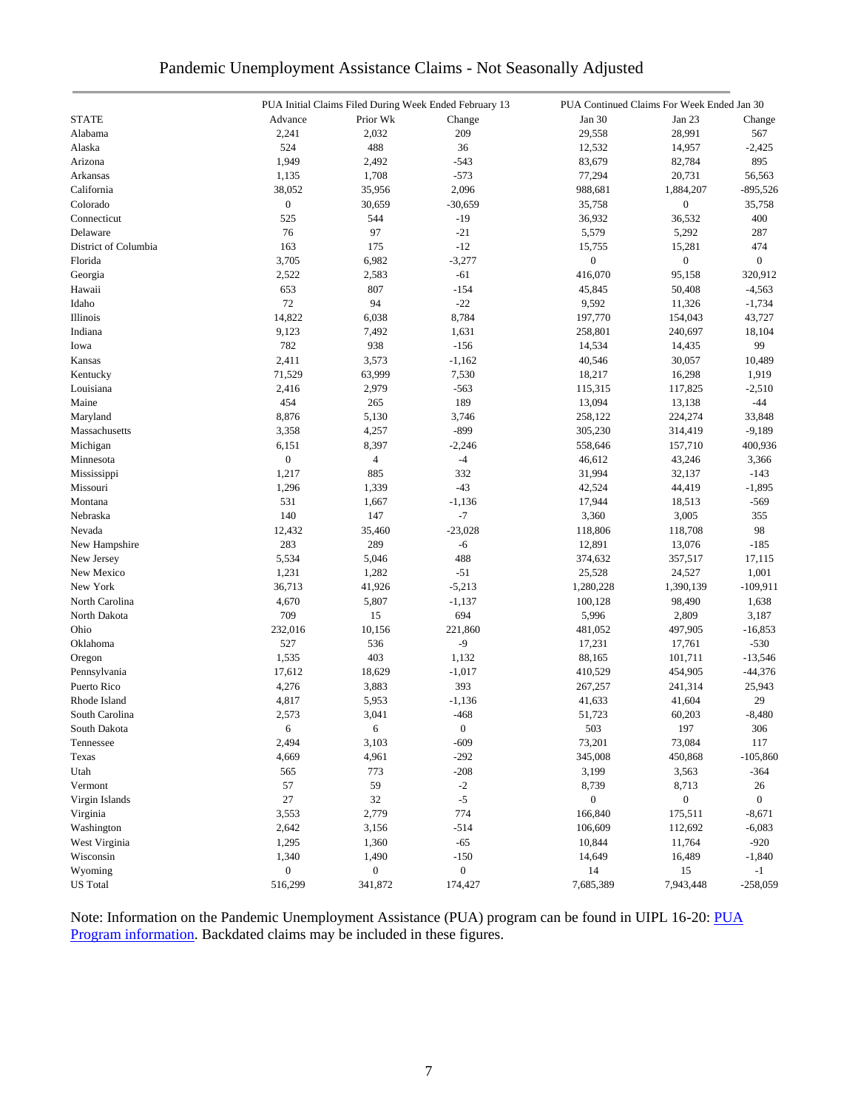| Pandemic Unemployment Assistance Claims - Not Seasonally Adjusted |  |  |  |  |  |  |  |  |
|-------------------------------------------------------------------|--|--|--|--|--|--|--|--|
|-------------------------------------------------------------------|--|--|--|--|--|--|--|--|

|                      |                  |                  | PUA Initial Claims Filed During Week Ended February 13 |                  | PUA Continued Claims For Week Ended Jan 30 |                  |
|----------------------|------------------|------------------|--------------------------------------------------------|------------------|--------------------------------------------|------------------|
| <b>STATE</b>         | Advance          | Prior Wk         | Change                                                 | Jan 30           | Jan 23                                     | Change           |
| Alabama              | 2,241            | 2,032            | 209                                                    | 29,558           | 28,991                                     | 567              |
| Alaska               | 524              | 488              | 36                                                     | 12,532           | 14,957                                     | $-2,425$         |
| Arizona              | 1,949            | 2,492            | $-543$                                                 | 83,679           | 82,784                                     | 895              |
| Arkansas             | 1,135            | 1,708            | $-573$                                                 | 77,294           | 20,731                                     | 56,563           |
| California           | 38,052           | 35,956           | 2,096                                                  | 988,681          | 1,884,207                                  | $-895,526$       |
| Colorado             | $\boldsymbol{0}$ | 30,659           | $-30,659$                                              | 35,758           | $\boldsymbol{0}$                           | 35,758           |
| Connecticut          | 525              | 544              | $-19$                                                  | 36,932           | 36,532                                     | 400              |
| Delaware             | 76               | 97               | $-21$                                                  | 5,579            | 5,292                                      | 287              |
| District of Columbia | 163              | 175              | $-12$                                                  | 15,755           | 15,281                                     | 474              |
| Florida              | 3,705            | 6,982            | $-3,277$                                               | $\boldsymbol{0}$ | $\boldsymbol{0}$                           | $\boldsymbol{0}$ |
| Georgia              | 2,522            | 2,583            | $-61$                                                  | 416,070          | 95,158                                     | 320,912          |
| Hawaii               | 653              | 807              | $-154$                                                 | 45,845           | 50,408                                     | $-4,563$         |
| Idaho                | 72               | 94               | $-22$                                                  | 9,592            | 11,326                                     | $-1,734$         |
| Illinois             | 14,822           | 6,038            | 8,784                                                  | 197,770          | 154,043                                    | 43,727           |
| Indiana              | 9,123            | 7,492            | 1,631                                                  | 258,801          | 240,697                                    | 18,104           |
| Iowa                 | 782              | 938              | $-156$                                                 | 14,534           |                                            | 99               |
|                      |                  |                  |                                                        |                  | 14,435                                     |                  |
| Kansas               | 2,411            | 3,573            | $-1,162$                                               | 40,546           | 30,057                                     | 10,489           |
| Kentucky             | 71,529           | 63,999           | 7,530                                                  | 18,217           | 16,298                                     | 1,919            |
| Louisiana            | 2,416            | 2,979            | $-563$                                                 | 115,315          | 117,825                                    | $-2,510$         |
| Maine                | 454              | 265              | 189                                                    | 13,094           | 13,138                                     | $-44$            |
| Maryland             | 8,876            | 5,130            | 3,746                                                  | 258,122          | 224,274                                    | 33,848           |
| Massachusetts        | 3,358            | 4,257            | $-899$                                                 | 305,230          | 314,419                                    | $-9,189$         |
| Michigan             | 6,151            | 8,397            | $-2,246$                                               | 558,646          | 157,710                                    | 400,936          |
| Minnesota            | $\boldsymbol{0}$ | $\overline{4}$   | $-4$                                                   | 46,612           | 43,246                                     | 3,366            |
| Mississippi          | 1,217            | 885              | 332                                                    | 31,994           | 32,137                                     | $-143$           |
| Missouri             | 1,296            | 1,339            | $-43$                                                  | 42,524           | 44,419                                     | $-1,895$         |
| Montana              | 531              | 1,667            | $-1,136$                                               | 17,944           | 18,513                                     | $-569$           |
| Nebraska             | 140              | 147              | $-7$                                                   | 3,360            | 3,005                                      | 355              |
| Nevada               | 12,432           | 35,460           | $-23,028$                                              | 118,806          | 118,708                                    | 98               |
| New Hampshire        | 283              | 289              | $-6$                                                   | 12,891           | 13,076                                     | $-185$           |
| New Jersey           | 5,534            | 5,046            | 488                                                    | 374,632          | 357,517                                    | 17,115           |
| New Mexico           | 1,231            | 1,282            | $-51$                                                  | 25,528           | 24,527                                     | 1,001            |
| New York             | 36,713           | 41,926           | $-5,213$                                               | 1,280,228        | 1,390,139                                  | $-109,911$       |
| North Carolina       | 4,670            | 5,807            | $-1,137$                                               | 100,128          | 98,490                                     | 1,638            |
| North Dakota         | 709              | 15               | 694                                                    | 5,996            | 2,809                                      | 3,187            |
| Ohio                 | 232,016          | 10,156           | 221,860                                                | 481,052          | 497,905                                    | $-16,853$        |
| Oklahoma             | 527              | 536              | $-9$                                                   | 17,231           | 17,761                                     | $-530$           |
| Oregon               | 1,535            | 403              | 1,132                                                  | 88,165           | 101,711                                    | $-13,546$        |
| Pennsylvania         | 17,612           | 18,629           | $-1,017$                                               | 410,529          | 454,905                                    | $-44,376$        |
| Puerto Rico          | 4,276            | 3,883            | 393                                                    | 267,257          | 241,314                                    | 25,943           |
| Rhode Island         | 4,817            | 5,953            | $-1,136$                                               | 41,633           | 41,604                                     | 29               |
| South Carolina       | 2,573            | 3,041            | $-468$                                                 | 51,723           | 60,203                                     | $-8,480$         |
| South Dakota         | 6                | 6                | $\boldsymbol{0}$                                       | 503              | 197                                        | 306              |
| Tennessee            | 2,494            | 3,103            | $-609$                                                 | 73,201           | 73,084                                     | 117              |
| Texas                | 4,669            | 4,961            | $-292$                                                 | 345,008          | 450,868                                    | $-105,860$       |
| Utah                 | 565              | 773              | $-208$                                                 | 3,199            | 3,563                                      | -364             |
| Vermont              | 57               | 59               | $-2$                                                   | 8,739            | 8,713                                      | 26               |
| Virgin Islands       | 27               | 32               | $-5$                                                   | $\boldsymbol{0}$ | $\boldsymbol{0}$                           | $\boldsymbol{0}$ |
| Virginia             | 3,553            | 2,779            | 774                                                    | 166,840          | 175,511                                    | $-8,671$         |
| Washington           | 2,642            | 3,156            | $-514$                                                 | 106,609          | 112,692                                    | $-6,083$         |
| West Virginia        | 1,295            | 1,360            | $-65$                                                  | 10,844           | 11,764                                     | $-920$           |
| Wisconsin            | 1,340            | 1,490            | $-150$                                                 | 14,649           | 16,489                                     | $-1,840$         |
|                      | $\boldsymbol{0}$ |                  | $\boldsymbol{0}$                                       | 14               |                                            |                  |
| Wyoming              |                  | $\boldsymbol{0}$ |                                                        |                  | 15                                         | $-1$             |
| <b>US</b> Total      | 516,299          | 341,872          | 174,427                                                | 7,685,389        | 7,943,448                                  | $-258,059$       |

Note: Information on the Pandemic Unemployment Assistance (PUA) program can be found in UIPL 16-20: PUA [Program information.](https://wdr.doleta.gov/directives/corr_doc.cfm?DOCN=4628) Backdated claims may be included in these figures.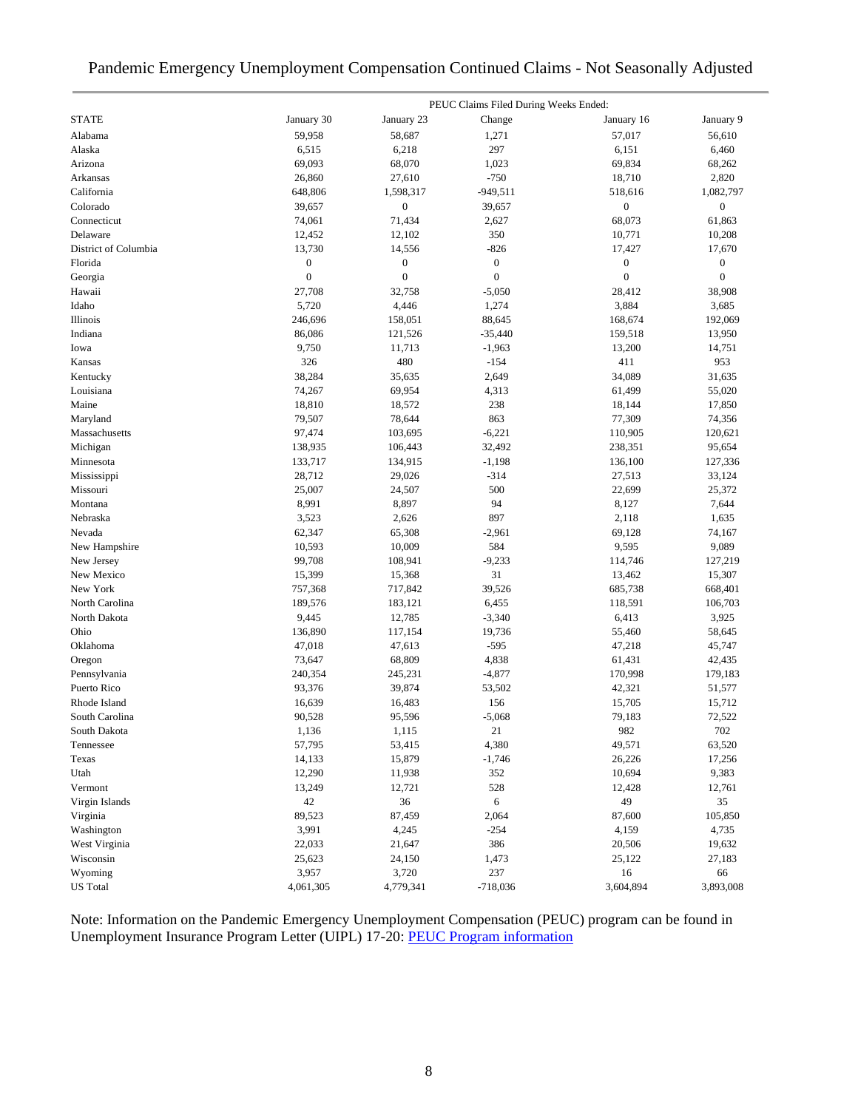| Pandemic Emergency Unemployment Compensation Continued Claims - Not Seasonally Adjusted |  |  |  |
|-----------------------------------------------------------------------------------------|--|--|--|
|                                                                                         |  |  |  |

|                      |                  |                  | PEUC Claims Filed During Weeks Ended: |                  |                  |
|----------------------|------------------|------------------|---------------------------------------|------------------|------------------|
| <b>STATE</b>         | January 30       | January 23       | Change                                | January 16       | January 9        |
| Alabama              | 59,958           | 58,687           | 1,271                                 | 57,017           | 56,610           |
| Alaska               | 6,515            | 6,218            | 297                                   | 6,151            | 6,460            |
| Arizona              | 69,093           | 68,070           | 1,023                                 | 69,834           | 68,262           |
| Arkansas             | 26,860           | 27,610           | $-750$                                | 18,710           | 2,820            |
| California           | 648,806          | 1,598,317        | $-949,511$                            | 518,616          | 1,082,797        |
| Colorado             | 39,657           | $\boldsymbol{0}$ | 39,657                                | $\boldsymbol{0}$ | $\boldsymbol{0}$ |
| Connecticut          | 74,061           | 71,434           | 2,627                                 | 68,073           | 61,863           |
| Delaware             | 12,452           | 12,102           | 350                                   | 10,771           | 10,208           |
| District of Columbia | 13,730           | 14,556           | $-826$                                | 17,427           | 17,670           |
| Florida              | $\boldsymbol{0}$ | $\boldsymbol{0}$ | $\boldsymbol{0}$                      | $\boldsymbol{0}$ | $\boldsymbol{0}$ |
| Georgia              | $\boldsymbol{0}$ | $\mathbf{0}$     | $\boldsymbol{0}$                      | $\mathbf{0}$     | $\boldsymbol{0}$ |
| Hawaii               | 27,708           | 32,758           | $-5,050$                              | 28,412           | 38,908           |
| Idaho                | 5,720            | 4,446            | 1,274                                 | 3,884            | 3,685            |
| Illinois             | 246,696          | 158,051          | 88,645                                | 168,674          | 192,069          |
| Indiana              | 86,086           | 121,526          | $-35,440$                             | 159,518          | 13,950           |
| Iowa                 | 9,750            | 11,713           | $-1,963$                              | 13,200           | 14,751           |
| Kansas               | 326              | 480              | $-154$                                | 411              | 953              |
| Kentucky             | 38,284           | 35,635           | 2,649                                 | 34,089           | 31,635           |
| Louisiana            | 74,267           | 69,954           | 4,313                                 | 61,499           | 55,020           |
| Maine                | 18,810           | 18,572           | 238                                   | 18,144           | 17,850           |
| Maryland             | 79,507           | 78,644           | 863                                   | 77,309           | 74,356           |
| Massachusetts        | 97,474           | 103,695          | $-6,221$                              | 110,905          | 120,621          |
| Michigan             | 138,935          | 106,443          | 32,492                                | 238,351          | 95,654           |
| Minnesota            | 133,717          | 134,915          | $-1,198$                              | 136,100          | 127,336          |
| Mississippi          | 28,712           | 29,026           | $-314$                                | 27,513           | 33,124           |
| Missouri             | 25,007           | 24,507           | 500                                   | 22,699           | 25,372           |
| Montana              | 8,991            | 8,897            | 94                                    | 8,127            | 7,644            |
| Nebraska             | 3,523            | 2,626            | 897                                   | 2,118            | 1,635            |
| Nevada               | 62,347           | 65,308           | $-2,961$                              | 69,128           | 74,167           |
| New Hampshire        | 10,593           | 10,009           | 584                                   | 9,595            | 9,089            |
| New Jersey           | 99,708           | 108,941          | $-9,233$                              | 114,746          | 127,219          |
| New Mexico           | 15,399           | 15,368           | 31                                    | 13,462           | 15,307           |
| New York             | 757,368          | 717,842          | 39,526                                | 685,738          | 668,401          |
| North Carolina       | 189,576          | 183,121          | 6,455                                 | 118,591          | 106,703          |
| North Dakota         | 9,445            | 12,785           | $-3,340$                              | 6,413            | 3,925            |
| Ohio                 | 136,890          | 117,154          | 19,736                                | 55,460           | 58,645           |
| Oklahoma             | 47,018           | 47,613           | $-595$                                | 47,218           | 45,747           |
| Oregon               | 73,647           | 68,809           | 4,838                                 | 61,431           | 42,435           |
| Pennsylvania         | 240,354          | 245,231          | $-4,877$                              | 170,998          | 179,183          |
| Puerto Rico          | 93,376           | 39,874           | 53,502                                | 42,321           | 51,577           |
| Rhode Island         | 16,639           | 16,483           | 156                                   | 15,705           | 15,712           |
| South Carolina       | 90,528           | 95,596           | $-5,068$                              | 79,183           | 72,522           |
| South Dakota         | 1,136            | 1,115            | 21                                    | 982              | 702              |
| Tennessee            | 57,795           | 53,415           | 4,380                                 | 49,571           | 63,520           |
| Texas                | 14,133           | 15,879           | $-1,746$                              | 26,226           | 17,256           |
| Utah                 | 12,290           | 11,938           | 352                                   | 10,694           | 9,383            |
| Vermont              | 13,249           | 12,721           | 528                                   | 12,428           | 12,761           |
| Virgin Islands       | 42               | 36               | 6                                     | 49               | 35               |
| Virginia             | 89,523           | 87,459           | 2,064                                 | 87,600           | 105,850          |
| Washington           | 3,991            | 4,245            | $-254$                                | 4,159            | 4,735            |
| West Virginia        | 22,033           |                  | 386                                   | 20,506           | 19,632           |
| Wisconsin            | 25,623           | 21,647           |                                       |                  |                  |
| Wyoming              | 3,957            | 24,150<br>3,720  | 1,473<br>237                          | 25,122<br>$16\,$ | 27,183<br>66     |
| <b>US</b> Total      |                  |                  |                                       |                  |                  |
|                      | 4,061,305        | 4,779,341        | $-718,036$                            | 3,604,894        | 3,893,008        |

Note: Information on the Pandemic Emergency Unemployment Compensation (PEUC) program can be found in Unemployment Insurance Program Letter (UIPL) 17-20: [PEUC Program information](https://wdr.doleta.gov/directives/corr_doc.cfm?DOCN=8452)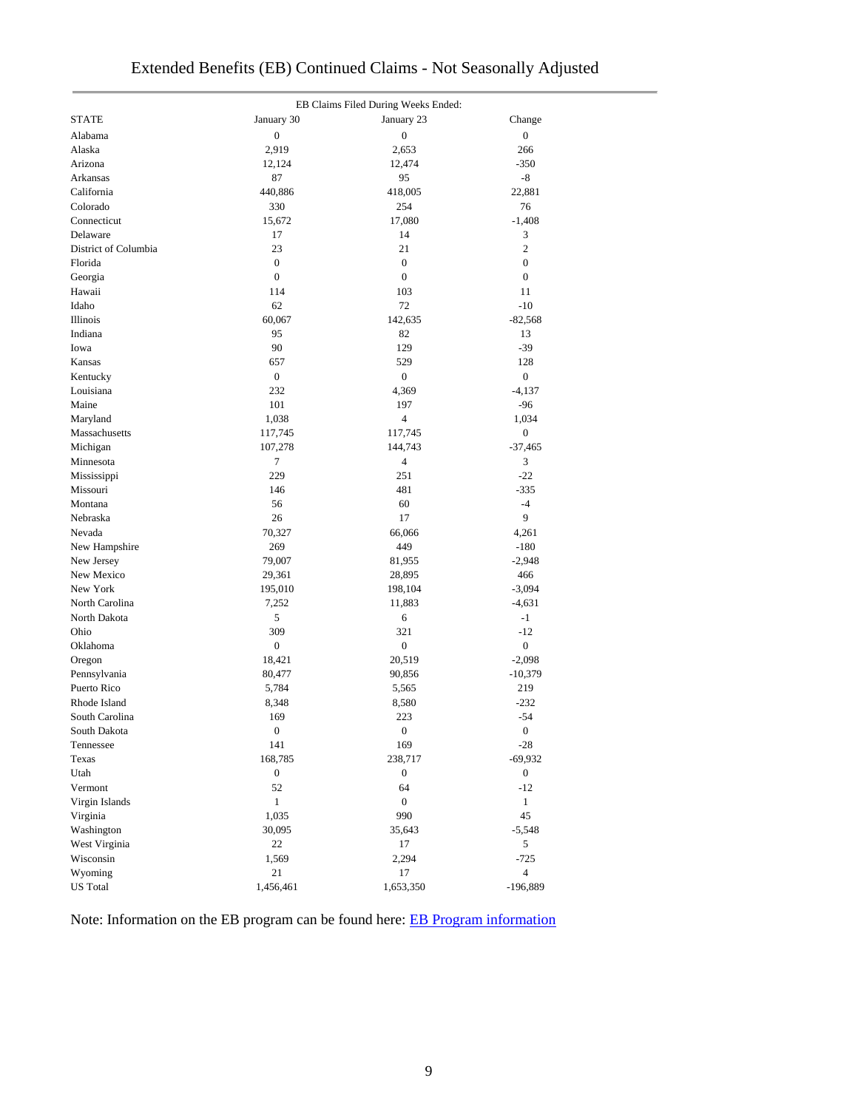|                       |                  | EB Claims Filed During Weeks Ended: |                  |
|-----------------------|------------------|-------------------------------------|------------------|
| <b>STATE</b>          | January 30       | January 23                          | Change           |
| Alabama               | $\boldsymbol{0}$ | $\boldsymbol{0}$                    | $\boldsymbol{0}$ |
| Alaska                | 2,919            | 2,653                               | 266              |
| Arizona               | 12,124           | 12,474                              | $-350$           |
| Arkansas              | 87               | 95                                  | -8               |
| California            | 440,886          | 418,005                             | 22,881           |
| Colorado              | 330              | 254                                 | 76               |
| Connecticut           | 15,672           | 17,080                              | $-1,408$         |
| Delaware              | 17               | 14                                  | 3                |
| District of Columbia  | 23               | 21                                  | $\mathbf{2}$     |
| Florida               | $\boldsymbol{0}$ | $\boldsymbol{0}$                    | $\boldsymbol{0}$ |
| Georgia               | $\boldsymbol{0}$ | $\boldsymbol{0}$                    | $\boldsymbol{0}$ |
| Hawaii                | 114              | 103                                 | 11               |
| Idaho                 | 62               | 72                                  | $-10$            |
| Illinois              | 60,067           | 142,635                             | $-82,568$        |
| Indiana               | 95               | 82                                  | 13               |
| Iowa                  | 90               | 129                                 | $-39$            |
| Kansas                | 657              | 529                                 | 128              |
|                       | $\boldsymbol{0}$ | $\mathbf{0}$                        | $\boldsymbol{0}$ |
| Kentucky<br>Louisiana | 232              | 4,369                               | $-4,137$         |
|                       |                  |                                     |                  |
| Maine                 | 101              | 197                                 | $-96$            |
| Maryland              | 1,038            | $\overline{4}$                      | 1,034            |
| Massachusetts         | 117,745          | 117,745                             | $\boldsymbol{0}$ |
| Michigan              | 107,278          | 144,743                             | $-37,465$        |
| Minnesota             | 7                | $\overline{4}$                      | 3                |
| Mississippi           | 229              | 251                                 | $-22$            |
| Missouri              | 146              | 481                                 | $-335$           |
| Montana               | 56               | 60                                  | $-4$             |
| Nebraska              | 26               | 17                                  | 9                |
| Nevada                | 70,327           | 66,066                              | 4,261            |
| New Hampshire         | 269              | 449                                 | $-180$           |
| New Jersey            | 79,007           | 81,955                              | $-2,948$         |
| New Mexico            | 29,361           | 28,895                              | 466              |
| New York              | 195,010          | 198,104                             | $-3,094$         |
| North Carolina        | 7,252            | 11,883                              | $-4,631$         |
| North Dakota          | 5                | 6                                   | $-1$             |
| Ohio                  | 309              | 321                                 | $-12$            |
| Oklahoma              | $\boldsymbol{0}$ | $\boldsymbol{0}$                    | $\boldsymbol{0}$ |
| Oregon                | 18,421           | 20,519                              | $-2,098$         |
| Pennsylvania          | 80,477           | 90,856                              | $-10,379$        |
| Puerto Rico           | 5,784            | 5,565                               | 219              |
| Rhode Island          | 8,348            | 8,580                               | $-232$           |
| South Carolina        | 169              | 223                                 | $-54$            |
| South Dakota          | $\boldsymbol{0}$ | $\boldsymbol{0}$                    | $\boldsymbol{0}$ |
| Tennessee             | 141              | 169                                 | $-28$            |
| Texas                 | 168,785          | 238,717                             | $-69,932$        |
| Utah                  | $\boldsymbol{0}$ | $\boldsymbol{0}$                    | $\boldsymbol{0}$ |
| Vermont               | 52               | 64                                  | $-12$            |
| Virgin Islands        | $\mathbf{1}$     | $\mathbf{0}$                        | $\mathbf{1}$     |
| Virginia              | 1,035            | 990                                 | 45               |
| Washington            | 30,095           | 35,643                              | $-5,548$         |
| West Virginia         | 22               | 17                                  | 5                |
| Wisconsin             | 1,569            | 2,294                               | $-725$           |
| Wyoming               | 21               | 17                                  | $\overline{4}$   |
| <b>US</b> Total       | 1,456,461        | 1,653,350                           | $-196,889$       |

Note: Information on the EB program can be found here: [EB Program information](https://oui.doleta.gov/unemploy/extenben.asp)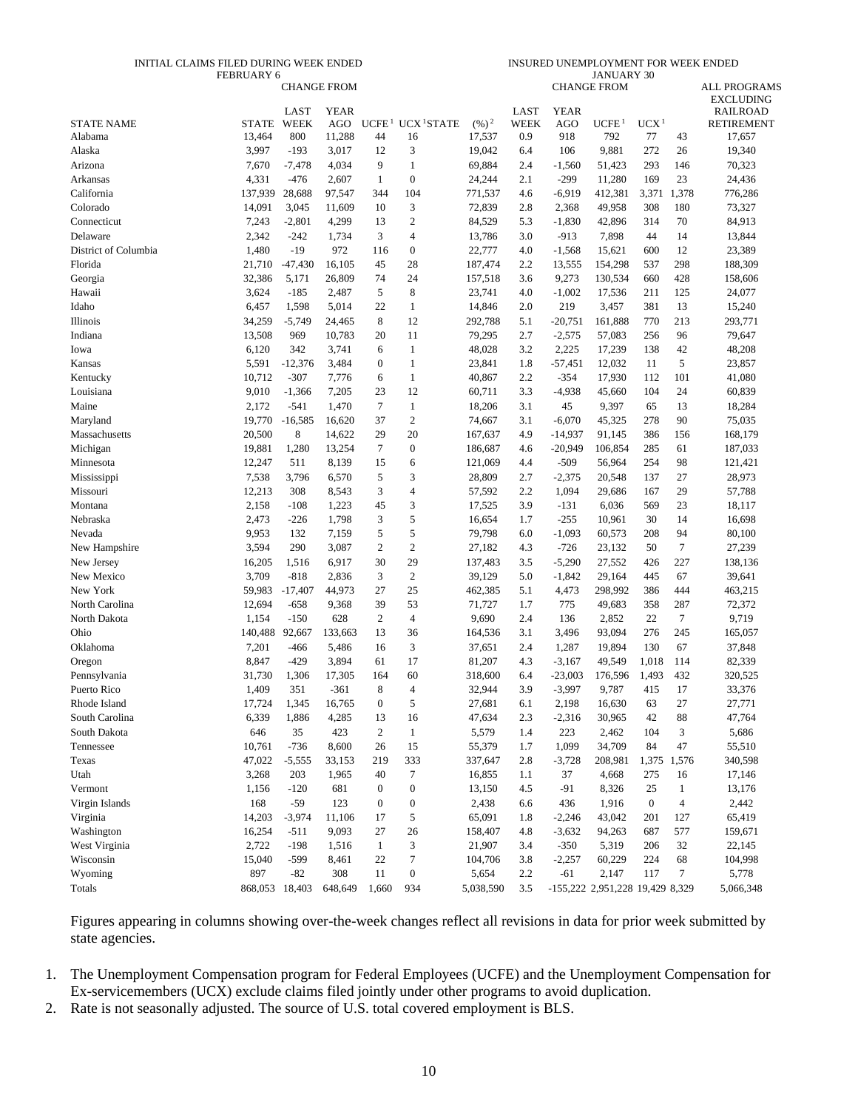#### INITIAL CLAIMS FILED DURING WEEK ENDED FEBRUARY 6

INSURED UNEMPLOYMENT FOR WEEK ENDED JANUARY 30

|                      |                |                     | <b>CHANGE FROM</b> |                  |                                          |                   |                     |                           | <b>CHANGE FROM</b>              |                  |                          | <b>ALL PROGRAMS</b>                  |
|----------------------|----------------|---------------------|--------------------|------------------|------------------------------------------|-------------------|---------------------|---------------------------|---------------------------------|------------------|--------------------------|--------------------------------------|
|                      |                |                     |                    |                  |                                          |                   |                     |                           |                                 |                  |                          | <b>EXCLUDING</b>                     |
| <b>STATE NAME</b>    | <b>STATE</b>   | LAST<br><b>WEEK</b> | <b>YEAR</b><br>AGO |                  | UCFE <sup>1</sup> UCX <sup>1</sup> STATE | $(\frac{9}{6})^2$ | LAST<br><b>WEEK</b> | <b>YEAR</b><br><b>AGO</b> | UCFE <sup>1</sup>               | UCX <sup>1</sup> |                          | <b>RAILROAD</b><br><b>RETIREMENT</b> |
| Alabama              | 13,464         | 800                 | 11,288             | 44               | 16                                       | 17,537            | 0.9                 | 918                       | 792                             | 77               | 43                       | 17,657                               |
| Alaska               | 3,997          | $-193$              | 3,017              | 12               | 3                                        | 19,042            | 6.4                 | 106                       | 9,881                           | 272              | 26                       | 19,340                               |
| Arizona              | 7,670          | $-7,478$            | 4,034              | 9                | $\mathbf{1}$                             | 69,884            | 2.4                 | $-1,560$                  | 51,423                          | 293              | 146                      | 70,323                               |
| Arkansas             | 4,331          | $-476$              | 2,607              | $\mathbf{1}$     | $\boldsymbol{0}$                         | 24,244            | 2.1                 | $-299$                    | 11,280                          | 169              | 23                       | 24,436                               |
| California           | 137,939        | 28,688              | 97,547             | 344              | 104                                      | 771,537           | 4.6                 | $-6,919$                  | 412,381                         | 3,371            | 1,378                    | 776,286                              |
| Colorado             | 14,091         | 3,045               | 11,609             | 10               | 3                                        | 72,839            | 2.8                 | 2,368                     | 49,958                          | 308              | 180                      | 73,327                               |
| Connecticut          | 7,243          | $-2,801$            | 4,299              | 13               | $\sqrt{2}$                               | 84,529            | 5.3                 | $-1,830$                  | 42,896                          | 314              | 70                       | 84,913                               |
| Delaware             | 2,342          | $-242$              | 1,734              | 3                | $\overline{4}$                           | 13,786            | 3.0                 | $-913$                    | 7,898                           | 44               | 14                       | 13,844                               |
| District of Columbia | 1,480          | $-19$               | 972                | 116              | $\boldsymbol{0}$                         | 22,777            | 4.0                 | $-1,568$                  | 15,621                          | 600              | 12                       | 23,389                               |
| Florida              | 21,710         | $-47,430$           | 16,105             | 45               | 28                                       | 187,474           | 2.2                 | 13,555                    | 154,298                         | 537              | 298                      | 188,309                              |
| Georgia              | 32,386         | 5,171               | 26,809             | 74               | 24                                       | 157,518           | 3.6                 | 9,273                     | 130,534                         | 660              | 428                      | 158,606                              |
| Hawaii               | 3,624          | $-185$              | 2,487              | 5                | $\,8\,$                                  | 23,741            | 4.0                 | $-1,002$                  | 17,536                          | 211              | 125                      | 24,077                               |
| Idaho                | 6,457          | 1,598               | 5,014              | 22               | $\mathbf{1}$                             | 14,846            | 2.0                 | 219                       | 3,457                           | 381              | 13                       | 15,240                               |
| Illinois             | 34,259         | $-5,749$            | 24,465             | 8                | 12                                       | 292,788           | 5.1                 | $-20,751$                 | 161,888                         | 770              | 213                      | 293,771                              |
| Indiana              | 13,508         | 969                 | 10,783             | 20               | 11                                       | 79,295            | 2.7                 | $-2,575$                  | 57,083                          | 256              | 96                       | 79,647                               |
| Iowa                 | 6,120          | 342                 | 3,741              | 6                | $\mathbf{1}$                             | 48,028            | 3.2                 | 2,225                     | 17,239                          | 138              | 42                       | 48,208                               |
| Kansas               | 5,591          | $-12,376$           | 3,484              | $\boldsymbol{0}$ | $\mathbf{1}$                             | 23,841            | 1.8                 | $-57,451$                 | 12,032                          | 11               | 5                        | 23,857                               |
| Kentucky             | 10,712         | $-307$              | 7,776              | 6                | $\mathbf{1}$                             | 40,867            | 2.2                 | $-354$                    | 17,930                          | 112              | 101                      | 41,080                               |
| Louisiana            | 9,010          | $-1,366$            | 7,205              | 23               | 12                                       | 60,711            | 3.3                 | $-4,938$                  | 45,660                          | 104              | 24                       | 60,839                               |
| Maine                | 2,172          | $-541$              | 1,470              | $\tau$           | $\mathbf{1}$                             | 18,206            | 3.1                 | 45                        | 9,397                           | 65               | 13                       | 18,284                               |
| Maryland             | 19,770         | $-16,585$           | 16,620             | 37               | $\mathfrak{2}$                           | 74,667            | 3.1                 | $-6,070$                  | 45,325                          | 278              | 90                       | 75,035                               |
| Massachusetts        | 20,500         | $\,8\,$             | 14,622             | 29               | 20                                       | 167,637           | 4.9                 | $-14,937$                 | 91,145                          | 386              | 156                      | 168,179                              |
| Michigan             | 19,881         | 1,280               | 13,254             | $\tau$           | $\boldsymbol{0}$                         | 186,687           | 4.6                 | $-20,949$                 | 106,854                         | 285              | 61                       | 187,033                              |
| Minnesota            | 12,247         | 511                 | 8,139              | 15               | 6                                        | 121,069           | 4.4                 | $-509$                    | 56,964                          | 254              | 98                       | 121,421                              |
| Mississippi          | 7,538          | 3,796               | 6,570              | 5                | 3                                        | 28,809            | 2.7                 | $-2,375$                  | 20,548                          | 137              | 27                       | 28,973                               |
| Missouri             | 12,213         | 308                 | 8,543              | 3                | $\overline{4}$                           | 57,592            | 2.2                 | 1,094                     | 29,686                          | 167              | 29                       | 57,788                               |
| Montana              | 2,158          | $-108$              | 1,223              | 45               | 3                                        | 17,525            | 3.9                 | $-131$                    | 6,036                           | 569              | 23                       | 18,117                               |
| Nebraska             | 2,473          | $-226$              | 1,798              | 3                | 5                                        | 16,654            | 1.7                 | $-255$                    | 10,961                          | 30               | 14                       | 16,698                               |
| Nevada               | 9,953          | 132                 | 7,159              | 5                | 5                                        | 79,798            | 6.0                 | $-1,093$                  | 60,573                          | 208              | 94                       | 80,100                               |
| New Hampshire        | 3,594          | 290                 | 3,087              | $\overline{c}$   | $\mathbf{2}$                             | 27,182            | 4.3                 | $-726$                    | 23,132                          | 50               | 7                        | 27,239                               |
| New Jersey           | 16,205         | 1,516               | 6,917              | 30               | 29                                       | 137,483           | 3.5                 | $-5,290$                  | 27,552                          | 426              | 227                      | 138,136                              |
| New Mexico           | 3,709          | $-818$              | 2,836              | 3                | $\sqrt{2}$                               | 39,129            | 5.0                 | $-1,842$                  | 29,164                          | 445              | 67                       | 39,641                               |
| New York             | 59,983         | $-17,407$           | 44,973             | 27               | 25                                       | 462,385           | 5.1                 | 4,473                     | 298,992                         | 386              | 444                      | 463,215                              |
| North Carolina       | 12,694         | $-658$              | 9,368              | 39               | 53                                       | 71,727            | 1.7                 | 775                       | 49,683                          | 358              | 287                      | 72,372                               |
| North Dakota         | 1,154          | $-150$              | 628                | $\boldsymbol{2}$ | $\overline{\mathcal{A}}$                 | 9,690             | 2.4                 | 136                       | 2,852                           | 22               | 7                        | 9,719                                |
| Ohio                 | 140,488        | 92,667              | 133,663            | 13               | 36                                       | 164,536           | 3.1                 | 3,496                     | 93,094                          | 276              | 245                      | 165,057                              |
| Oklahoma             | 7,201          | $-466$              | 5,486              | 16               | 3                                        | 37,651            | 2.4                 | 1,287                     | 19,894                          | 130              | 67                       | 37,848                               |
| Oregon               | 8,847          | $-429$              | 3,894              | 61               | 17                                       | 81,207            | 4.3                 | $-3,167$                  | 49,549                          | 1,018            | 114                      | 82,339                               |
| Pennsylvania         | 31,730         | 1,306               | 17,305             | 164              | 60                                       | 318,600           | 6.4                 | $-23,003$                 | 176,596                         | 1,493            | 432                      | 320,525                              |
| Puerto Rico          | 1,409          | 351                 | $-361$             | 8                | $\overline{4}$                           | 32,944            | 3.9                 | $-3,997$                  | 9,787                           | 415              | 17                       | 33,376                               |
| Rhode Island         | 17,724         | 1,345               | 16,765             | $\mathbf{0}$     | 5                                        | 27,681            | 6.1                 | 2,198                     | 16,630                          | 63               | 27                       | 27,771                               |
| South Carolina       | 6,339          | 1,886               | 4,285              | 13               | 16                                       | 47,634            | 2.3                 | $-2,316$                  | 30,965                          | 42               | 88                       | 47,764                               |
| South Dakota         | 646            | 35                  | 423                | $\overline{c}$   | $\mathbf{1}$                             | 5,579             | 1.4                 | 223                       | 2,462                           | 104              | 3                        | 5,686                                |
| Tennessee            | 10,761         | $-736$              | 8,600              | 26               | 15                                       | 55,379            | 1.7                 | 1,099                     | 34,709                          | 84               | 47                       | 55,510                               |
| Texas                | 47,022         | $-5,555$            | 33,153             | 219              | 333                                      | 337,647           | 2.8                 | $-3,728$                  | 208,981                         | 1,375            | 1,576                    | 340,598                              |
| Utah                 | 3,268          | 203                 | 1,965              | 40               | $\boldsymbol{7}$                         | 16,855            | 1.1                 | 37                        | 4,668                           | 275              | 16                       | 17,146                               |
| Vermont              | 1,156          | $-120$              | 681                | $\boldsymbol{0}$ | $\boldsymbol{0}$                         | 13,150            | 4.5                 | $-91$                     | 8,326                           | 25               | $\mathbf{1}$             | 13,176                               |
| Virgin Islands       | 168            | $-59$               | 123                | $\boldsymbol{0}$ | $\boldsymbol{0}$                         | 2,438             | 6.6                 | 436                       | 1,916                           | $\boldsymbol{0}$ | $\overline{\mathcal{L}}$ | 2,442                                |
| Virginia             | 14,203         | $-3,974$            | 11,106             | 17               | 5                                        | 65,091            | 1.8                 | $-2,246$                  | 43,042                          | 201              | 127                      | 65,419                               |
| Washington           | 16,254         | $-511$              | 9,093              | 27               | 26                                       | 158,407           | 4.8                 | $-3,632$                  | 94,263                          | 687              | 577                      | 159,671                              |
| West Virginia        | 2,722          | $-198$              | 1,516              | $\mathbf{1}$     | $\mathfrak{Z}$                           | 21,907            | 3.4                 | $-350$                    | 5,319                           | 206              | 32                       | 22,145                               |
| Wisconsin            | 15,040         | $-599$              | 8,461              | 22               | $\boldsymbol{7}$                         | 104,706           | 3.8                 | $-2,257$                  | 60,229                          | 224              | 68                       | 104,998                              |
| Wyoming              | 897            | $-82$               | 308                | 11               | $\boldsymbol{0}$                         | 5,654             | 2.2                 | $-61$                     | 2,147                           | 117              | 7                        | 5,778                                |
| Totals               | 868,053 18,403 |                     | 648,649            | 1,660            | 934                                      | 5,038,590         | $3.5$               |                           | -155,222 2,951,228 19,429 8,329 |                  |                          | 5,066,348                            |

Figures appearing in columns showing over-the-week changes reflect all revisions in data for prior week submitted by state agencies.

1. The Unemployment Compensation program for Federal Employees (UCFE) and the Unemployment Compensation for Ex-servicemembers (UCX) exclude claims filed jointly under other programs to avoid duplication.

2. Rate is not seasonally adjusted. The source of U.S. total covered employment is BLS.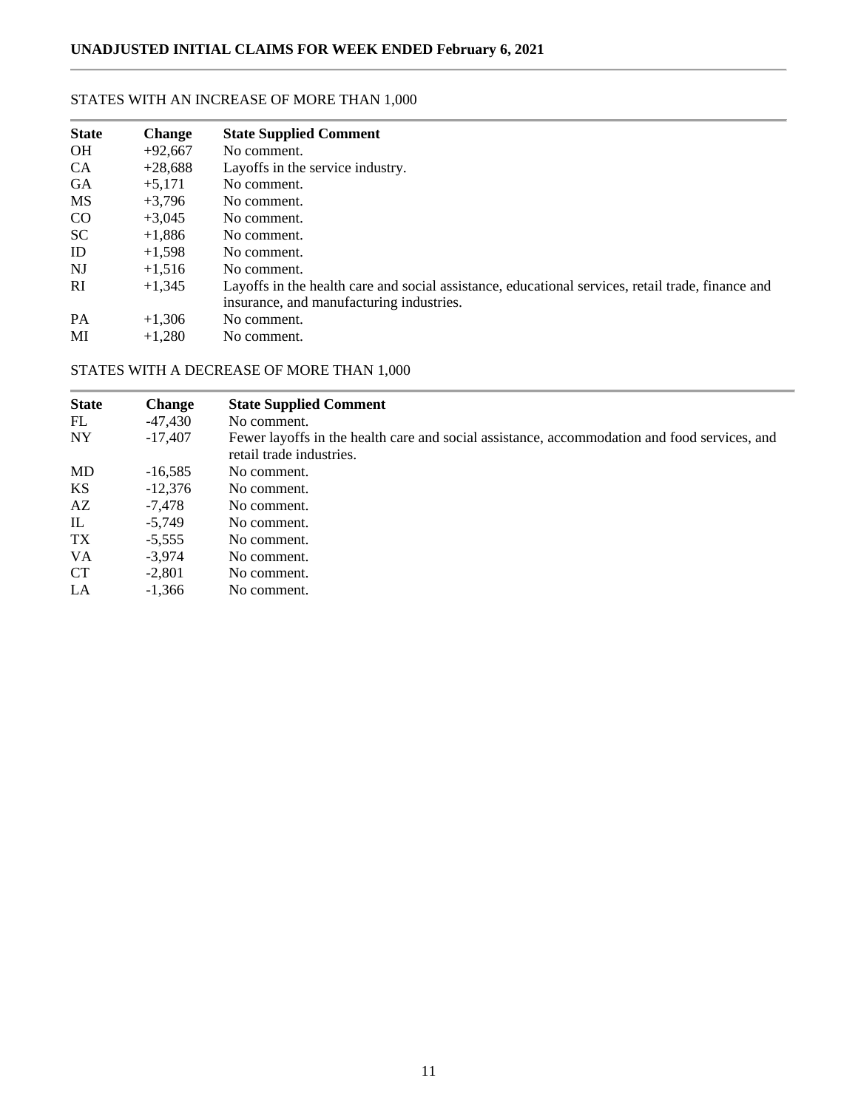# STATES WITH AN INCREASE OF MORE THAN 1,000

| <b>State</b> | <b>Change</b> | <b>State Supplied Comment</b>                                                                     |
|--------------|---------------|---------------------------------------------------------------------------------------------------|
| <b>OH</b>    | $+92,667$     | No comment.                                                                                       |
| <b>CA</b>    | $+28,688$     | Layoffs in the service industry.                                                                  |
| <b>GA</b>    | $+5,171$      | No comment.                                                                                       |
| <b>MS</b>    | $+3.796$      | No comment.                                                                                       |
| CO           | $+3.045$      | No comment.                                                                                       |
| <b>SC</b>    | $+1,886$      | No comment.                                                                                       |
| ID           | $+1.598$      | No comment.                                                                                       |
| NJ           | $+1,516$      | No comment.                                                                                       |
| <b>RI</b>    | $+1.345$      | Layoffs in the health care and social assistance, educational services, retail trade, finance and |
|              |               | insurance, and manufacturing industries.                                                          |
| <b>PA</b>    | $+1,306$      | No comment.                                                                                       |
| MI           | $+1.280$      | No comment.                                                                                       |

# STATES WITH A DECREASE OF MORE THAN 1,000

| <b>State</b> | <b>Change</b> | <b>State Supplied Comment</b>                                                                                            |
|--------------|---------------|--------------------------------------------------------------------------------------------------------------------------|
| FL           | -47,430       | No comment.                                                                                                              |
| <b>NY</b>    | $-17,407$     | Fewer layoffs in the health care and social assistance, accommodation and food services, and<br>retail trade industries. |
| <b>MD</b>    | $-16,585$     | No comment.                                                                                                              |
| <b>KS</b>    | $-12,376$     | No comment.                                                                                                              |
| AZ           | -7.478        | No comment.                                                                                                              |
| $\mathbb{L}$ | $-5.749$      | No comment.                                                                                                              |
| TX           | $-5.555$      | No comment.                                                                                                              |
| <b>VA</b>    | $-3.974$      | No comment.                                                                                                              |
| <b>CT</b>    | $-2.801$      | No comment.                                                                                                              |
| LA           | $-1,366$      | No comment.                                                                                                              |